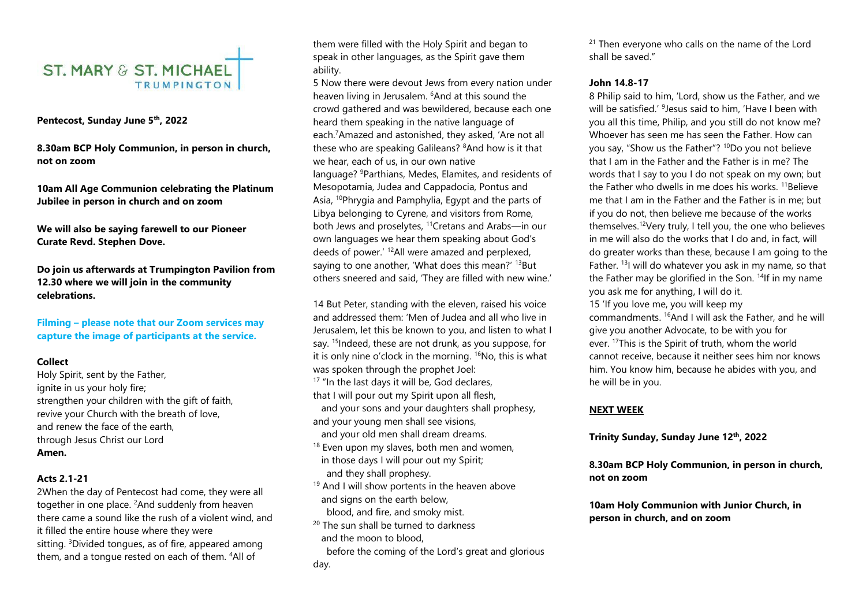

#### **Pentecost, Sunday June 5th , 2022**

**8.30am BCP Holy Communion, in person in church, not on zoom** 

**10am All Age Communion celebrating the Platinum Jubilee in person in church and on zoom**

**We will also be saying farewell to our Pioneer Curate Revd. Stephen Dove.**

**Do join us afterwards at Trumpington Pavilion from 12.30 where we will join in the community celebrations.**

**Filming – please note that our Zoom services may capture the image of participants at the service.** 

#### **Collect**

Holy Spirit, sent by the Father, ignite in us your holy fire; strengthen your children with the gift of faith, revive your Church with the breath of love, and renew the face of the earth, through Jesus Christ our Lord **Amen.**

#### **Acts 2.1-21**

2When the day of Pentecost had come, they were all together in one place. <sup>2</sup>And suddenly from heaven there came a sound like the rush of a violent wind, and it filled the entire house where they were sitting. <sup>3</sup>Divided tongues, as of fire, appeared among them, and a tongue rested on each of them. <sup>4</sup>All of

them were filled with the Holy Spirit and began to speak in other languages, as the Spirit gave them ability.

5 Now there were devout Jews from every nation under heaven living in Jerusalem. <sup>6</sup>And at this sound the crowd gathered and was bewildered, because each one heard them speaking in the native language of each.<sup>7</sup>Amazed and astonished, they asked, 'Are not all these who are speaking Galileans? <sup>8</sup>And how is it that we hear, each of us, in our own native language? <sup>9</sup>Parthians, Medes, Elamites, and residents of Mesopotamia, Judea and Cappadocia, Pontus and Asia, <sup>10</sup>Phrygia and Pamphylia, Egypt and the parts of Libya belonging to Cyrene, and visitors from Rome, both Jews and proselytes, <sup>11</sup>Cretans and Arabs—in our own languages we hear them speaking about God's deeds of power.' <sup>12</sup>All were amazed and perplexed, saying to one another, 'What does this mean?' <sup>13</sup>But others sneered and said, 'They are filled with new wine.'

14 But Peter, standing with the eleven, raised his voice and addressed them: 'Men of Judea and all who live in Jerusalem, let this be known to you, and listen to what I say. <sup>15</sup>Indeed, these are not drunk, as you suppose, for it is only nine o'clock in the morning. <sup>16</sup>No, this is what was spoken through the prophet Joel: <sup>17</sup> "In the last days it will be, God declares, that I will pour out my Spirit upon all flesh, and your sons and your daughters shall prophesy,

and your young men shall see visions,

and your old men shall dream dreams.

- <sup>18</sup> Even upon my slaves, both men and women, in those days I will pour out my Spirit; and they shall prophesy.
- $19$  And I will show portents in the heaven above and signs on the earth below, blood, and fire, and smoky mist.
- 20 The sun shall be turned to darkness and the moon to blood,

 before the coming of the Lord's great and glorious day.

<sup>21</sup> Then everyone who calls on the name of the Lord shall be saved."

#### **John 14.8-17**

8 Philip said to him, 'Lord, show us the Father, and we will be satisfied.' <sup>9</sup>Jesus said to him, 'Have I been with you all this time, Philip, and you still do not know me? Whoever has seen me has seen the Father. How can you say, "Show us the Father"? <sup>10</sup>Do you not believe that I am in the Father and the Father is in me? The words that I say to you I do not speak on my own; but the Father who dwells in me does his works.<sup>11</sup>Believe me that I am in the Father and the Father is in me; but if you do not, then believe me because of the works themselves.<sup>12</sup>Very truly, I tell you, the one who believes in me will also do the works that I do and, in fact, will do greater works than these, because I am going to the Father. <sup>13</sup>I will do whatever you ask in my name, so that the Father may be glorified in the Son.  $14$ If in my name you ask me for anything, I will do it.

15 'If you love me, you will keep my

commandments. <sup>16</sup>And I will ask the Father, and he will give you another Advocate, to be with you for ever. <sup>17</sup>This is the Spirit of truth, whom the world cannot receive, because it neither sees him nor knows him. You know him, because he abides with you, and he will be in you.

#### **NEXT WEEK**

**Trinity Sunday, Sunday June 12th , 2022**

**8.30am BCP Holy Communion, in person in church, not on zoom** 

**10am Holy Communion with Junior Church, in person in church, and on zoom**